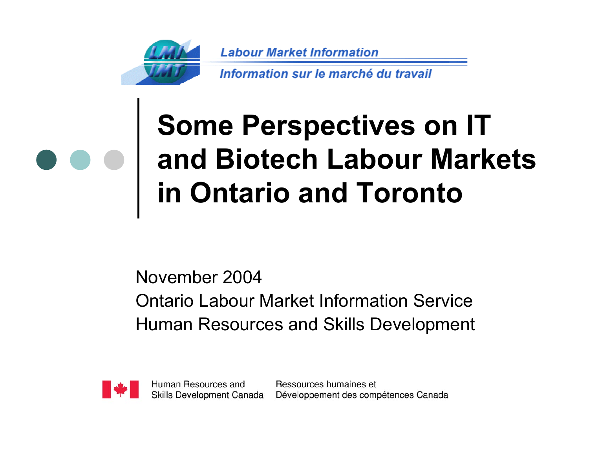

**Labour Market Information** 

Information sur le marché du travail

## **Some Perspectives on IT and Biotech Labour Markets in Ontario and Toronto**

November 2004Ontario Labour Market Information ServiceHuman Resources and Skills Development



Human Resources and Skills Development Canada

Ressources humaines et Développement des compétences Canada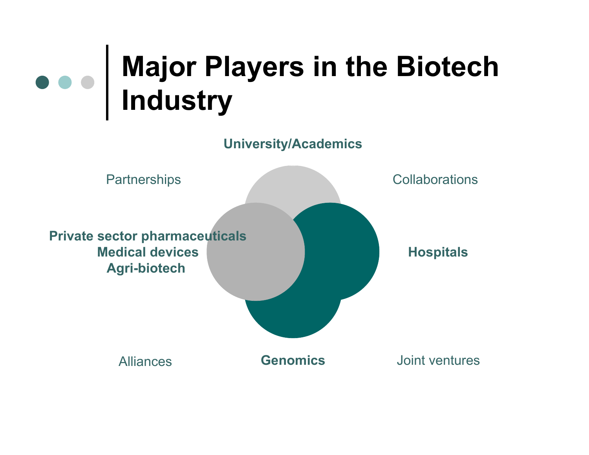#### **Major Players in the Biotech Industry**

**University/Academics**

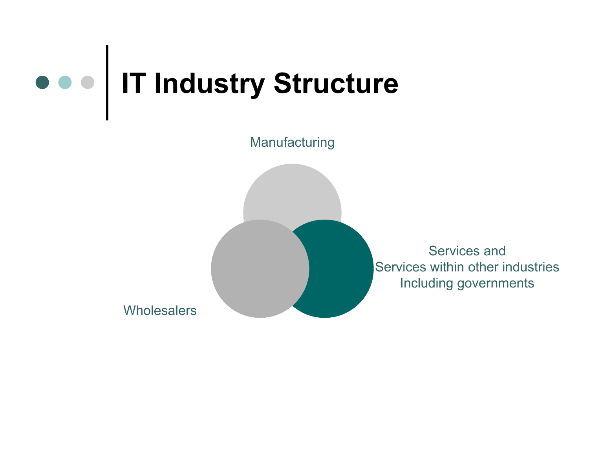

Manufacturing

Services and Services within other industries Including governments

Wholesalers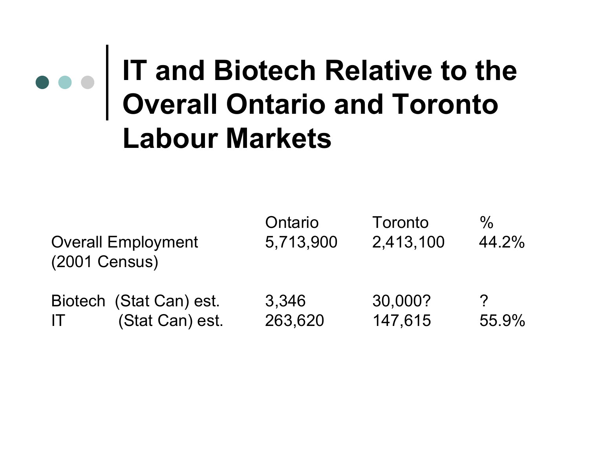## **IT and Biotech Relative to the Overall Ontario and Toronto Labour Markets**

| <b>Overall Employment</b> |                         | Ontario   | Toronto   | $\%$          |
|---------------------------|-------------------------|-----------|-----------|---------------|
| (2001 Census)             |                         | 5,713,900 | 2,413,100 | 44.2%         |
| $\mathsf{I}\mathsf{T}^-$  | Biotech (Stat Can) est. | 3,346     | 30,000?   | $\mathcal{P}$ |
|                           | (Stat Can) est.         | 263,620   | 147,615   | 55.9%         |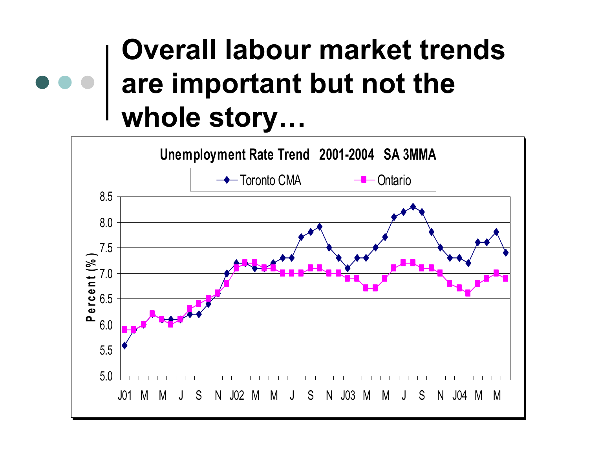### **Overall labour market trends are important but not the whole story…**

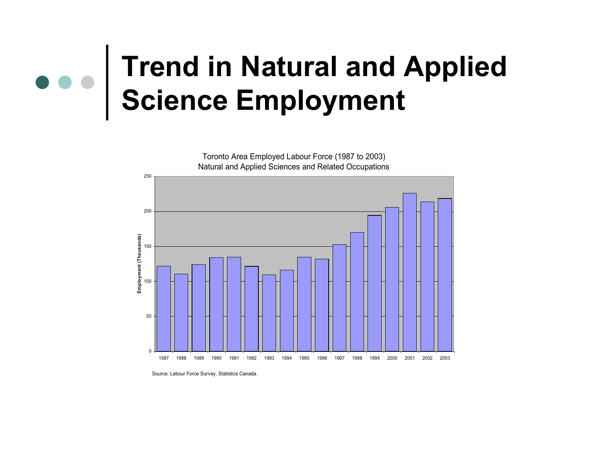## **Trend in Natural and Applied Science Employment**

Toronto Area Employed Labour Force (1987 to 2003) Natural and Applied Sciences and Related Occupations



Source: Labour Force Survey, Statistics Canada.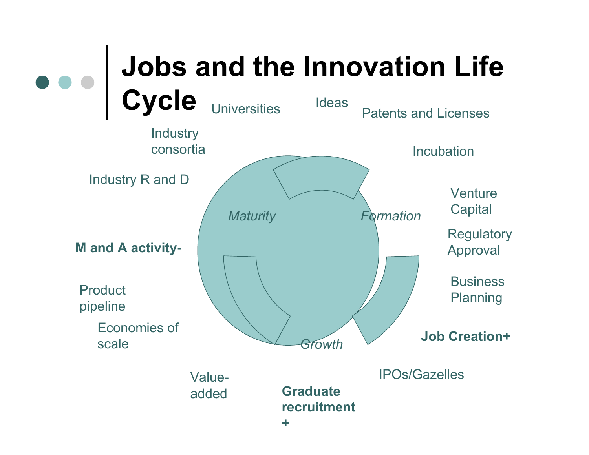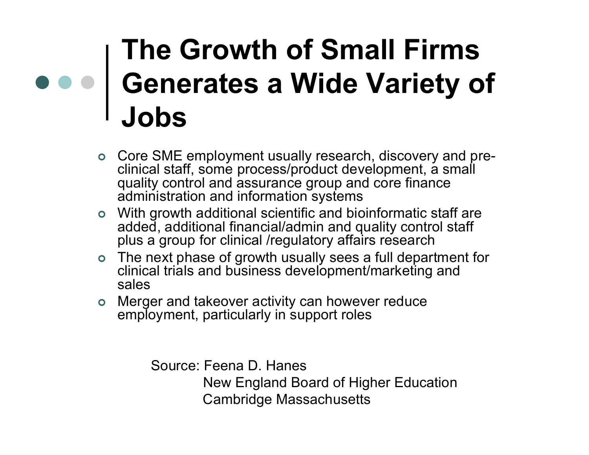## **The Growth of Small Firms Generates a Wide Variety of Jobs**

- Core SME employment usually research, discovery and preclinical staff, some process/product development, a small quality control and assurance group and core finance administration and information systems
- With growth additional scientific and bioinformatic staff are added, additional financial/admin and quality control staff plus a group for clinical /regulatory affairs research
- The next phase of growth usually sees a full department for clinical trials and business development/marketing and sales
- Merger and takeover activity can however reduce employment, particularly in support roles

 Source: Feena D. Hanes New England Board of Higher Education Cambridge Massachusetts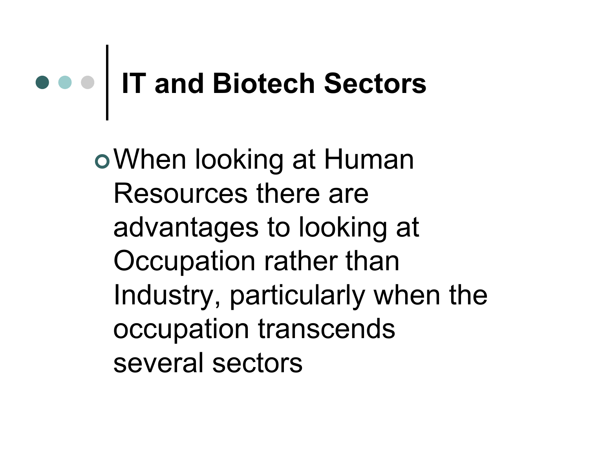## **IT and Biotech Sectors**

When looking at Human Resources there areadvantages to looking at Occupation rather than Industry, particularly when the occupation transcends several sectors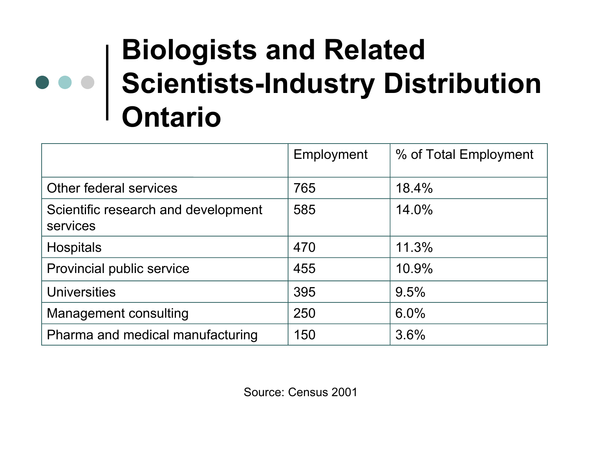## **Biologists and Related Scientists-Industry Distribution Ontario**

|                                                 | Employment | % of Total Employment |
|-------------------------------------------------|------------|-----------------------|
| Other federal services                          | 765        | 18.4%                 |
| Scientific research and development<br>services | 585        | 14.0%                 |
| <b>Hospitals</b>                                | 470        | 11.3%                 |
| Provincial public service                       | 455        | 10.9%                 |
| <b>Universities</b>                             | 395        | 9.5%                  |
| <b>Management consulting</b>                    | 250        | 6.0%                  |
| Pharma and medical manufacturing                | 150        | 3.6%                  |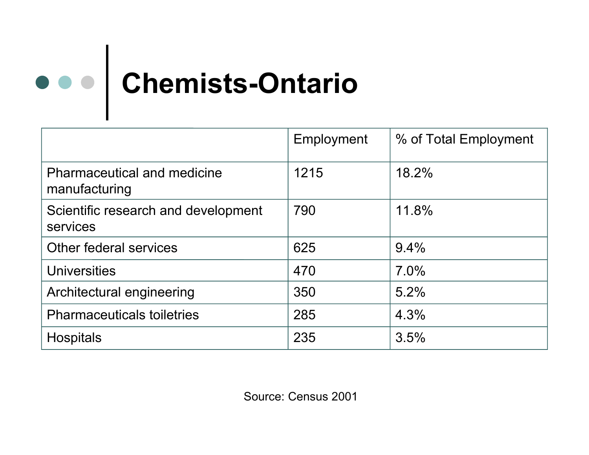

|                                                     | Employment | % of Total Employment |
|-----------------------------------------------------|------------|-----------------------|
| <b>Pharmaceutical and medicine</b><br>manufacturing | 1215       | 18.2%                 |
| Scientific research and development<br>services     | 790        | 11.8%                 |
| Other federal services                              | 625        | 9.4%                  |
| Universities                                        | 470        | 7.0%                  |
| Architectural engineering                           | 350        | 5.2%                  |
| <b>Pharmaceuticals toiletries</b>                   | 285        | 4.3%                  |
| <b>Hospitals</b>                                    | 235        | 3.5%                  |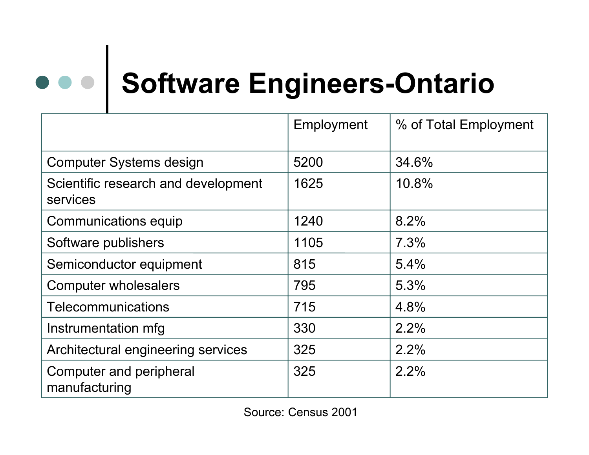# **Software Engineers-Ontario**

|                                                 | Employment | % of Total Employment |
|-------------------------------------------------|------------|-----------------------|
| <b>Computer Systems design</b>                  | 5200       | 34.6%                 |
| Scientific research and development<br>services | 1625       | 10.8%                 |
| Communications equip                            | 1240       | 8.2%                  |
| Software publishers                             | 1105       | 7.3%                  |
| Semiconductor equipment                         | 815        | $5.4\%$               |
| <b>Computer wholesalers</b>                     | 795        | 5.3%                  |
| Telecommunications                              | 715        | 4.8%                  |
| Instrumentation mfg                             | 330        | 2.2%                  |
| Architectural engineering services              | 325        | 2.2%                  |
| Computer and peripheral<br>manufacturing        | 325        | 2.2%                  |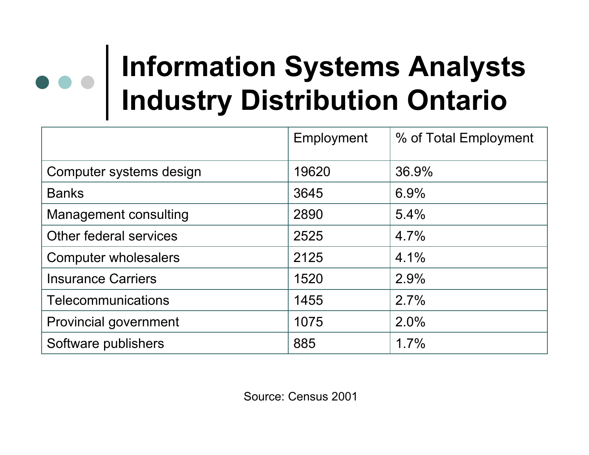## **Information Systems Analysts Industry Distribution Ontario**

|                              | Employment | % of Total Employment |
|------------------------------|------------|-----------------------|
| Computer systems design      | 19620      | 36.9%                 |
| <b>Banks</b>                 | 3645       | 6.9%                  |
| <b>Management consulting</b> | 2890       | 5.4%                  |
| Other federal services       | 2525       | 4.7%                  |
| Computer wholesalers         | 2125       | 4.1%                  |
| <b>Insurance Carriers</b>    | 1520       | 2.9%                  |
| Telecommunications           | 1455       | 2.7%                  |
| Provincial government        | 1075       | 2.0%                  |
| Software publishers          | 885        | 1.7%                  |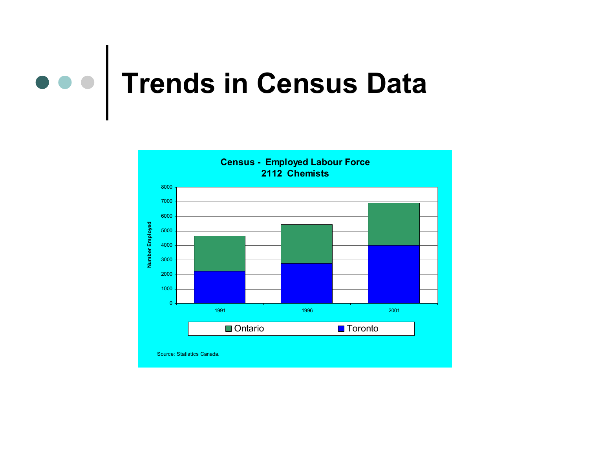

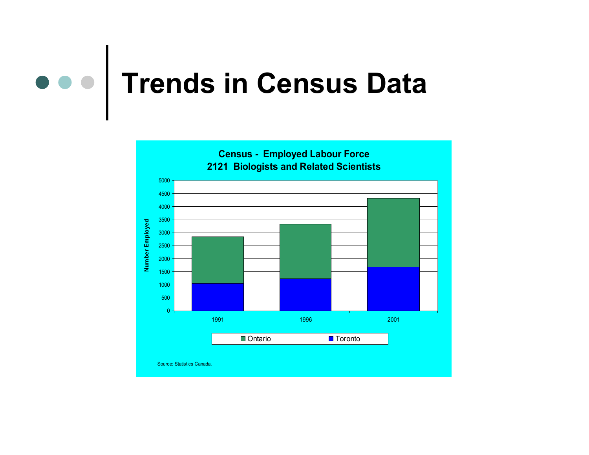#### $\bullet\bullet\bullet$ **Trends in Census Data**

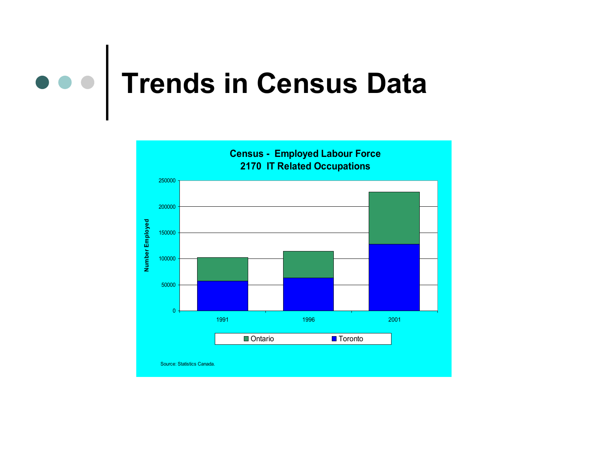### $\bullet\bullet\bullet$ **Trends in Census Data**

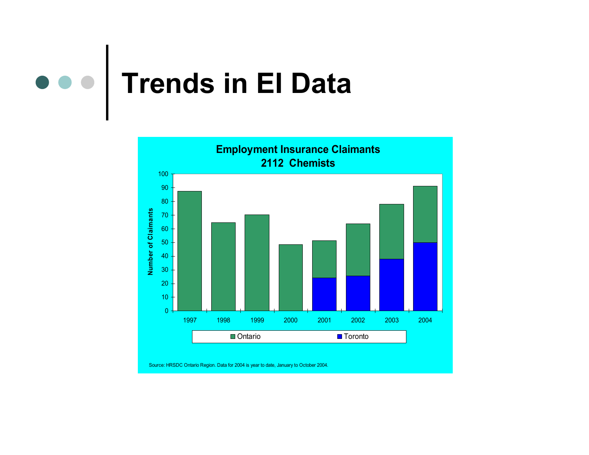

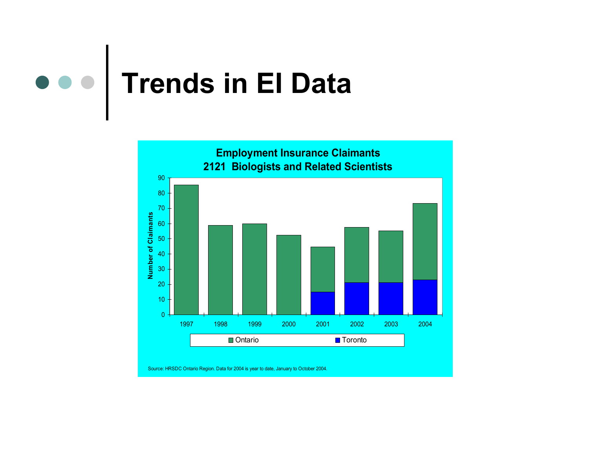

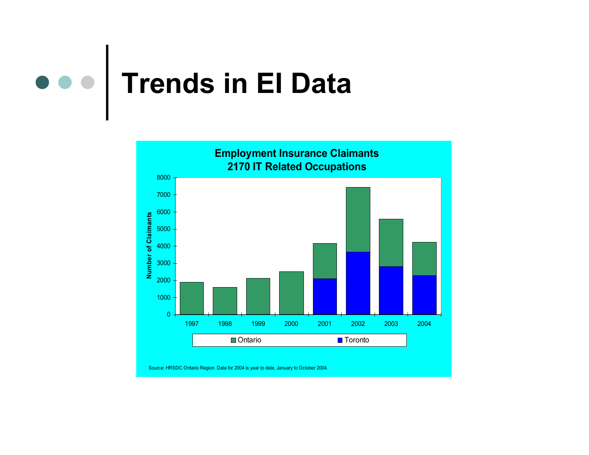

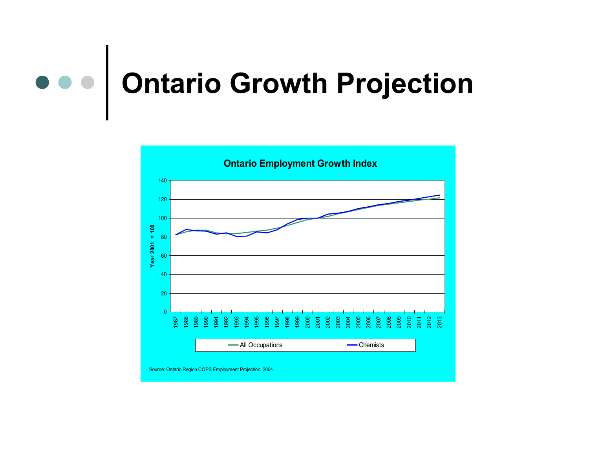

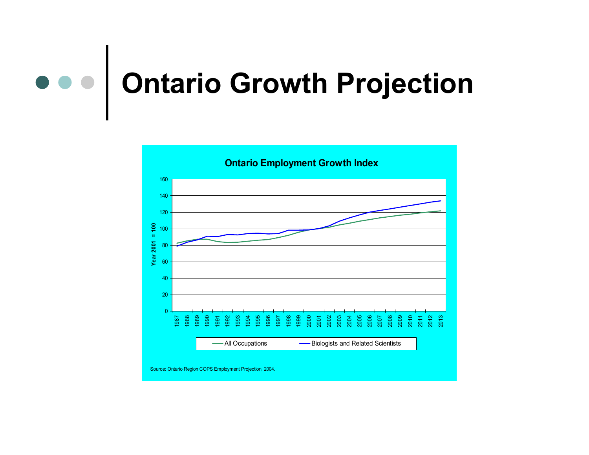#### $\bullet\bullet\bullet$ **Ontario Growth Projection**

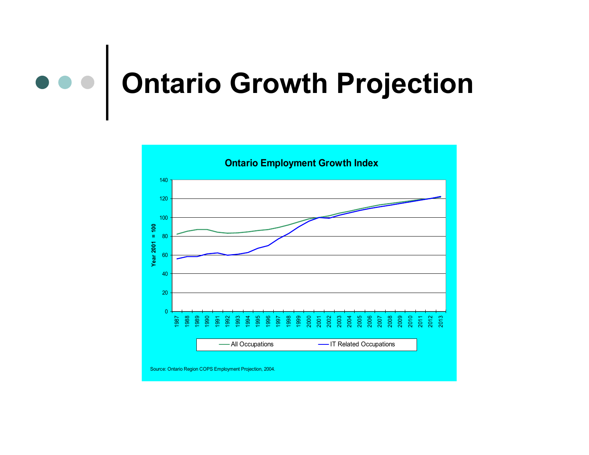

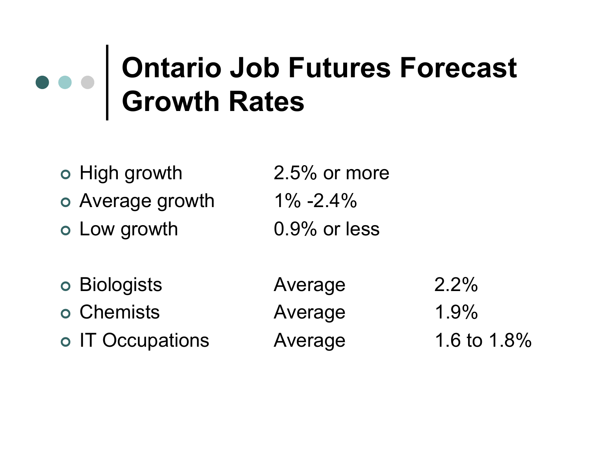## **Ontario Job Futures Forecast Growth Rates**

o High growth 2.5% or more Average growth 1% -2.4% Low growth 0.9% or less Biologists Average 2.2% o Chemists **Average** 1.9% o IT Occupations Average 1.6 to 1.8%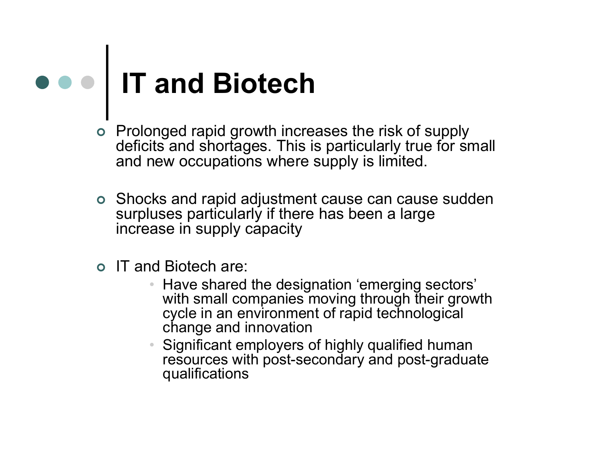## **IT and Biotech**

- Prolonged rapid growth increases the risk of supply deficits and shortages. This is particularly true for small and new occupations where supply is limited.
- Shocks and rapid adjustment cause can cause sudden surpluses particularly if there has been a large increase in supply capacity
- IT and Biotech are:
	- Have shared the designation 'emerging sectors' with small companies moving through their growth cycle in an environment of rapid technological change and innovation
	- Significant employers of highly qualified human resources with post-secondary and post-graduate qualifications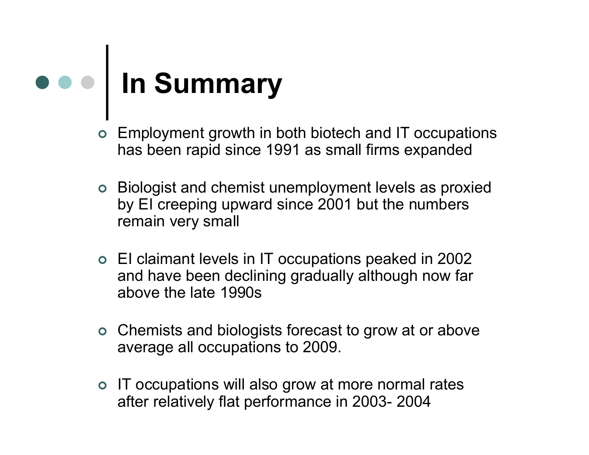## **In Summary**

- Employment growth in both biotech and IT occupations has been rapid since 1991 as small firms expanded
- Biologist and chemist unemployment levels as proxied by EI creeping upward since 2001 but the numbers remain very small
- EI claimant levels in IT occupations peaked in 2002 and have been declining gradually although now far above the late 1990s
- Chemists and biologists forecast to grow at or above average all occupations to 2009.
- o IT occupations will also grow at more normal rates after relatively flat performance in 2003- 2004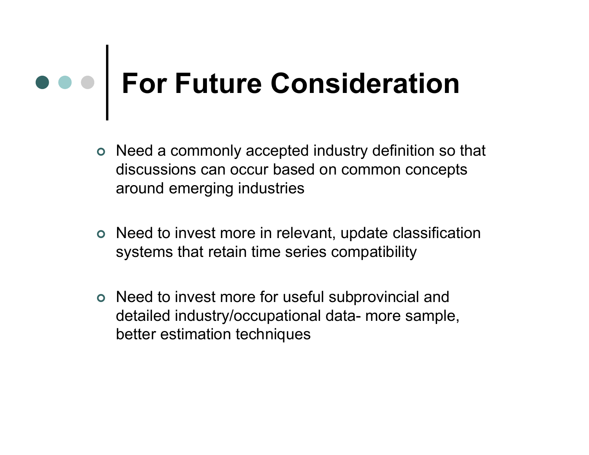# **For Future Consideration**

- Need a commonly accepted industry definition so that discussions can occur based on common concepts around emerging industries
- Need to invest more in relevant, update classification systems that retain time series compatibility
- Need to invest more for useful subprovincial and detailed industry/occupational data- more sample, better estimation techniques